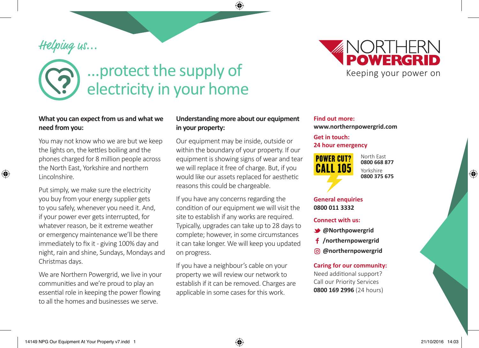# Helping us...

◈

# ...protect the supply of electricity in your home

#### **What you can expect from us and what we need from you:**

You may not know who we are but we keep the lights on, the kettles boiling and the phones charged for 8 million people across the North East, Yorkshire and northern Lincolnshire.

Put simply, we make sure the electricity you buy from your energy supplier gets to you safely, whenever you need it. And, if your power ever gets interrupted, for whatever reason, be it extreme weather or emergency maintenance we'll be there immediately to fix it - giving 100% day and night, rain and shine, Sundays, Mondays and Christmas days.

We are Northern Powergrid, we live in your communities and we're proud to play an essential role in keeping the power flowing to all the homes and businesses we serve.

#### **Understanding more about our equipment in your property:**

◈

Our equipment may be inside, outside or within the boundary of your property. If our equipment is showing signs of wear and tear we will replace it free of charge. But, if you would like our assets replaced for aesthetic reasons this could be chargeable.

If you have any concerns regarding the condition of our equipment we will visit the site to establish if any works are required. Typically, upgrades can take up to 28 days to complete; however, in some circumstances it can take longer. We will keep you updated on progress.

If you have a neighbour's cable on your property we will review our network to establish if it can be removed. Charges are applicable in some cases for this work.

#### **Find out more: www.northernpowergrid.com**

## **Get in touch:**

#### **24 hour emergency**

**POWER CUT? CALL 105** 

North East **0800 668 877** Yorkshire **0800 375 675**

#### **General enquiries 0800 011 3332**

#### **Connect with us:**

- **@Northpowergrid**
- **/northernpowergrid**
- **@northernpowergrid**

#### **Caring for our community:**

Need additional support? Call our Priority Services **0800 169 2996** (24 hours)



⊕